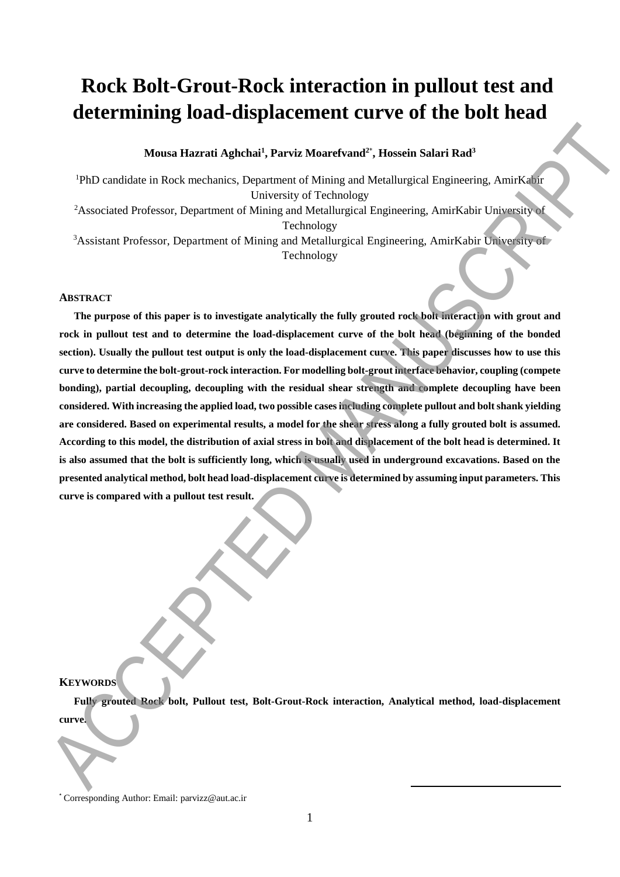# **Rock Bolt-Grout-Rock interaction in pullout test and determining load-displacement curve of the bolt head**

**Mousa Hazrati Aghchai<sup>1</sup> , Parviz Moarefvand<sup>2</sup>**\* **, Hossein Salari Rad<sup>3</sup>**

<sup>1</sup>PhD candidate in Rock mechanics, Department of Mining and Metallurgical Engineering, AmirKabir University of Technology <sup>2</sup>Associated Professor, Department of Mining and Metallurgical Engineering, AmirKabir University of Technology <sup>3</sup>Assistant Professor, Department of Mining and Metallurgical Engineering, AmirKabir University of Technology

#### **ABSTRACT**

**The purpose of this paper is to investigate analytically the fully grouted rock bolt interaction with grout and rock in pullout test and to determine the load-displacement curve of the bolt head (beginning of the bonded section). Usually the pullout test output is only the load-displacement curve. This paper discusses how to use this curve to determine the bolt-grout-rock interaction. For modelling bolt-grout interface behavior, coupling (compete bonding), partial decoupling, decoupling with the residual shear strength and complete decoupling have been considered. With increasing the applied load, two possible cases including complete pullout and bolt shank yielding are considered. Based on experimental results, a model for the shear stress along a fully grouted bolt is assumed. According to this model, the distribution of axial stress in bolt and displacement of the bolt head is determined. It**  is also assumed that the bolt is sufficiently long, which is usually used in underground excavations. Based on the **presented analytical method, bolt head load-displacement curve is determined by assuming input parameters. This curve is compared with a pullout test result.** Measu Hazrati Aghebai<sup>3</sup>, Parisir Munrelvand<sup>2</sup>, Hassein Salari Rad<sup>2</sup><br>
<sup>49</sup>ND candidate in Reck mechanics, Department of Mining and MailAngkal Inspireding, AmirKalia<br>
<sup>4</sup>A-sociated Porfessor, Department of Mining and Mail

## **KEYWORDS**

**Fully grouted Rock bolt, Pullout test, Bolt-Grout-Rock interaction, Analytical method, load-displacement curve.** 

**.** 

<sup>\*</sup> Corresponding Author: Email: parvizz@aut.ac.ir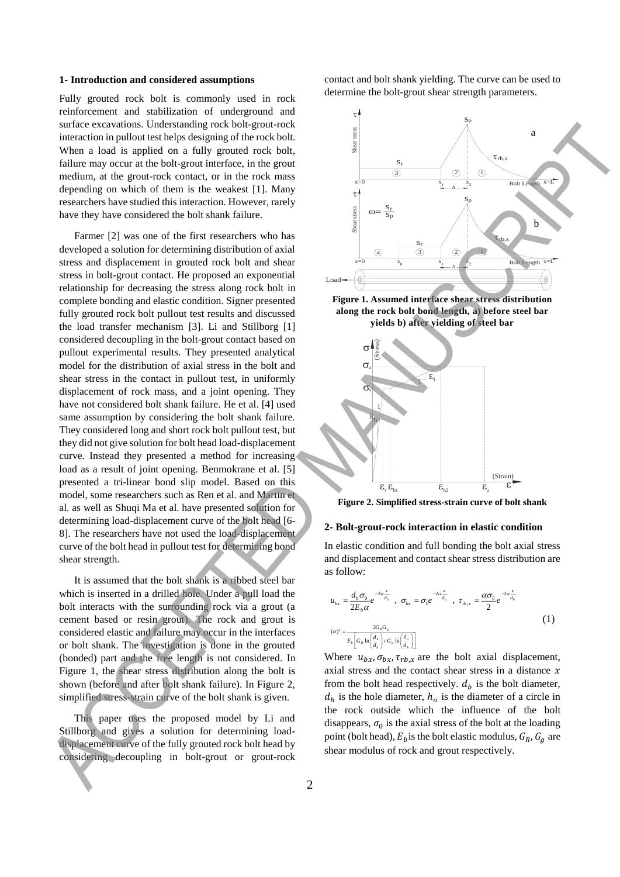### **1- Introduction and considered assumptions**

Fully grouted rock bolt is commonly used in rock reinforcement and stabilization of underground and surface excavations. Understanding rock bolt-grout-rock interaction in pullout test helps designing of the rock bolt. When a load is applied on a fully grouted rock bolt, failure may occur at the bolt-grout interface, in the grout medium, at the grout-rock contact, or in the rock mass depending on which of them is the weakest [1]. Many researchers have studied this interaction. However, rarely have they have considered the bolt shank failure.

Farmer [2] was one of the first researchers who has developed a solution for determining distribution of axial stress and displacement in grouted rock bolt and shear stress in bolt-grout contact. He proposed an exponential relationship for decreasing the stress along rock bolt in complete bonding and elastic condition. Signer presented fully grouted rock bolt pullout test results and discussed the load transfer mechanism [3]. Li and Stillborg [1] considered decoupling in the bolt-grout contact based on pullout experimental results. They presented analytical model for the distribution of axial stress in the bolt and shear stress in the contact in pullout test, in uniformly displacement of rock mass, and a joint opening. They have not considered bolt shank failure. He et al. [4] used same assumption by considering the bolt shank failure. They considered long and short rock bolt pullout test, but they did not give solution for bolt head load-displacement curve. Instead they presented a method for increasing load as a result of joint opening. Benmokrane et al. [5] presented a tri-linear bond slip model. Based on this model, some researchers such as Ren et al. and Martin et al. as well as Shuqi Ma et al. have presented solution for determining load-displacement curve of the bolt head [6- 8]. The researchers have not used the load-displacement curve of the bolt head in pullout test for determining bond shear strength. ACCEDEMATION IS IN EVOLVED AND SERVE TO EXAMPLE THE CONTRACT CONTRACT CONTRACT CONTRACT CONTRACT CONTRACT CONTRACT CONTRACT CONTRACT CONTRACT CONTRACT CONTRACT CONTRACT CONTRACT CONTRACT CONTRACT CONTRACT CONTRACT CONTRAC

It is assumed that the bolt shank is a ribbed steel bar which is inserted in a drilled hole. Under a pull load the bolt interacts with the surrounding rock via a grout (a cement based or resin grout). The rock and grout is considered elastic and failure may occur in the interfaces or bolt shank. The investigation is done in the grouted (bonded) part and the free length is not considered. In Figure 1, the shear stress distribution along the bolt is shown (before and after bolt shank failure). In Figure 2, simplified stress-strain curve of the bolt shank is given.

This paper uses the proposed model by Li and Stillborg and gives a solution for determining loaddisplacement curve of the fully grouted rock bolt head by considering decoupling in bolt-grout or grout-rock contact and bolt shank yielding. The curve can be used to determine the bolt-grout shear strength parameters.





**Figure 2. Simplified stress-strain curve of bolt shank**

#### **2- Bolt-grout-rock interaction in elastic condition**

In elastic condition and full bonding the bolt axial stress and displacement and contact shear stress distribution are as follow:

$$
u_{bx} = \frac{d_b \sigma_0}{2E_b \alpha} e^{-2\alpha \frac{x}{d_b}}, \quad \sigma_{bx} = \sigma_0 e^{-2\alpha \frac{x}{d_b}}, \quad \tau_{b.x} = \frac{\alpha \sigma_0}{2} e^{-2\alpha \frac{x}{d_b}}
$$
  

$$
(\alpha)^2 = \frac{2G_s G_s}{E_b \left[ G_s \ln\left(\frac{d_s}{d_s}\right) + G_s \ln\left(\frac{d_s}{d_s}\right) \right]}
$$
(1)

Where  $u_{bx}, \sigma_{bx}, \tau_{rb,x}$  are the bolt axial displacement, axial stress and the contact shear stress in a distance  $x$ from the bolt head respectively.  $d_b$  is the bolt diameter,  $d_h$  is the hole diameter,  $h_o$  is the diameter of a circle in the rock outside which the influence of the bolt disappears,  $\sigma_0$  is the axial stress of the bolt at the loading point (bolt head),  $E_b$  is the bolt elastic modulus,  $G_R$ ,  $G_a$  are shear modulus of rock and grout respectively.